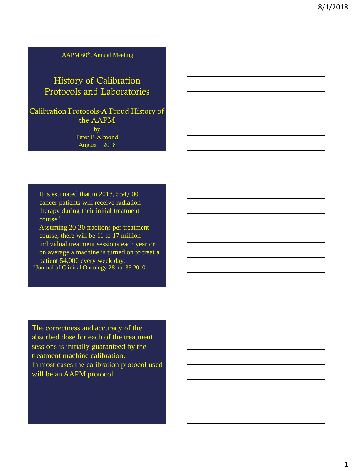AAPM 60<sup>th</sup>. Annual Meeting

# History of Calibration Protocols and Laboratories

Calibration Protocols-A Proud History of the AAPM by Peter R Almond August 1 2018

It is estimated that in 2018, 554,000 cancer patients will receive radiation therapy during their initial treatment course.\* Assuming 20-30 fractions per treatment

course, there will be 11 to 17 million individual treatment sessions each year or on average a machine is turned on to treat a patient 54,000 every week day. \* Journal of Clinical Oncology 28 no. 35 2010

The correctness and accuracy of the absorbed dose for each of the treatment sessions is initially guaranteed by the treatment machine calibration. In most cases the calibration protocol used will be an AAPM protocol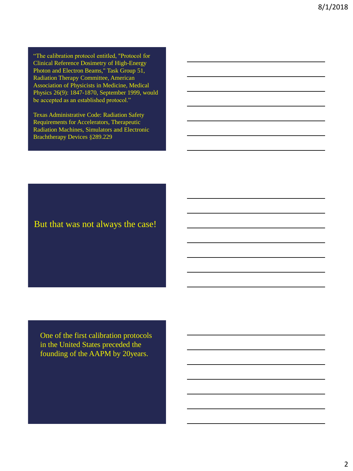"The calibration protocol entitled, "Protocol for Clinical Reference Dosimetry of High-Energy Photon and Electron Beams," Task Group 51, Radiation Therapy Committee, American Association of Physicists in Medicine, Medical Physics 26(9): 1847-1870, September 1999, would be accepted as an established protocol."

Texas Administrative Code: Radiation Safety Requirements for Accelerators, Therapeutic Radiation Machines, Simulators and Electronic Brachtherapy Devices §289.229

But that was not always the case!

One of the first calibration protocols in the United States preceded the founding of the AAPM by 20years.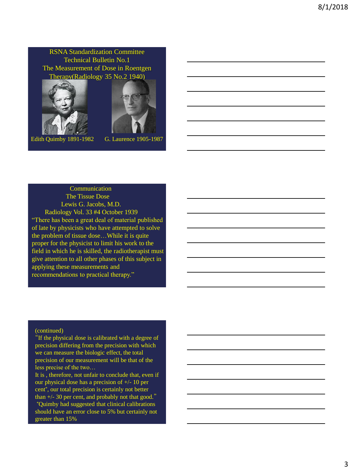RSNA Standardization Committee Technical Bulletin No.1 The Measurement of Dose in Roentgen Therapy(Radiology 35 No.2 1940)





Edith Quimby 1891-1982 G. Laurence 1905-1987

#### Communication

The Tissue Dose Lewis G. Jacobs, M.D. Radiology Vol. 33 #4 October 1939 "There has been a great deal of material published of late by physicists who have attempted to solve the problem of tissue dose…While it is quite proper for the physicist to limit his work to the field in which he is skilled, the radiotherapist must give attention to all other phases of this subject in applying these measurements and recommendations to practical therapy."

#### (continued)

"If the physical dose is calibrated with a degree of precision differing from the precision with which we can measure the biologic effect, the total precision of our measurement will be that of the less precise of the two…

It is , therefore, not unfair to conclude that, even if our physical dose has a precision of +/- 10 per cent\* , our total precision is certainly not better than  $+/- 30$  per cent, and probably not that good."

\*Quimby had suggested that clinical calibrations should have an error close to 5% but certainly not greater than 15%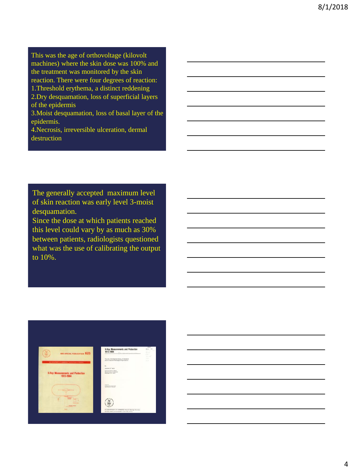This was the age of orthovoltage (kilovolt machines) where the skin dose was 100% and the treatment was monitored by the skin reaction. There were four degrees of reaction: 1.Threshold erythema, a distinct reddening 2.Dry desquamation, loss of superficial layers of the epidermis

3.Moist desquamation, loss of basal layer of the epidermis.

4.Necrosis, irreversible ulceration, dermal destruction

The generally accepted maximum level of skin reaction was early level 3-moist desquamation.

Since the dose at which patients reached this level could vary by as much as 30% between patients, radiologists questioned what was the use of calibrating the output to 10%.

| NBS SPECIAL PUBLICATION 625                                      | X-Ray Measurements and Protection<br>1913-1964<br>He record international                   | <b>Barnet</b><br>FEE 5 THE<br>And and Caller<br><b>CLAIR</b><br>$-25.5$ |
|------------------------------------------------------------------|---------------------------------------------------------------------------------------------|-------------------------------------------------------------------------|
| <b>G.S. OXPARTMENT OF EDMONTON / National Research Transport</b> | The role of the National Bureau of Elenderox<br>and the National Radiobaccal Cripenicalisms | 19.38<br><b>Very</b><br>2.50                                            |
|                                                                  | $\mathbb{R}$<br>Licenson S. Taylor                                                          |                                                                         |
| <b>X-Ray Measurements and Protection</b><br>1913-1964            | Assistant Drietta, Fished<br>Netchell forest of Disney<br><b>Blade'sport FAT DOCAR</b>      |                                                                         |
|                                                                  | <b>Joseph Av.</b><br>16. Marchi Toko, Juan durante<br>Tokoma Marina di Marchista            |                                                                         |
|                                                                  |                                                                                             |                                                                         |

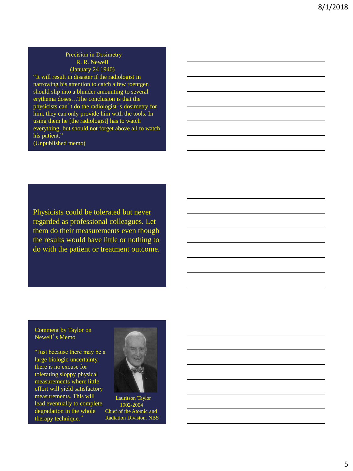#### Precision in Dosimetry R. R. Newell (January 24 1940)

"It will result in disaster if the radiologist in narrowing his attention to catch a few roentgen should slip into a blunder amounting to several erythema doses…The conclusion is that the physicists can't do the radiologist's dosimetry for him, they can only provide him with the tools. In using them he [the radiologist] has to watch everything, but should not forget above all to watch his patient."

(Unpublished memo)

Physicists could be tolerated but never regarded as professional colleagues. Let them do their measurements even though the results would have little or nothing to do with the patient or treatment outcome.

#### Comment by Taylor on Newell's Memo

"Just because there may be a large biologic uncertainty, there is no excuse for tolerating sloppy physical measurements where little effort will yield satisfactory measurements. This will lead eventually to complete degradation in the whole therapy technique."



Lauritson Taylor 1902-2004 Chief of the Atomic and Radiation Division. NBS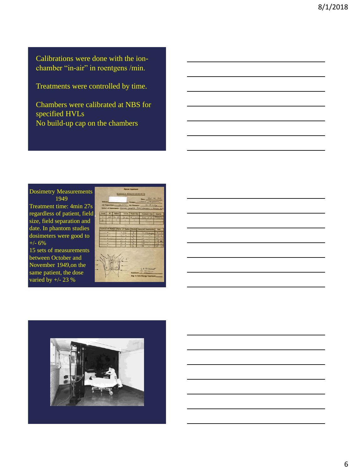Calibrations were done with the ionchamber "in-air" in roentgens /min.

Treatments were controlled by time.

Chambers were calibrated at NBS for specified HVLs No build-up cap on the chambers

Dosimetry Measurements 1949

Treatment time: 4min 27s regardless of patient, field size, field separation and date. In phantom studies dosimeters were good to +/- 6% 15 sets of measurements between October and November 1949,on the same patient, the dose varied by +/- 23 %

**DOSAGE NEASTRENESTS** 

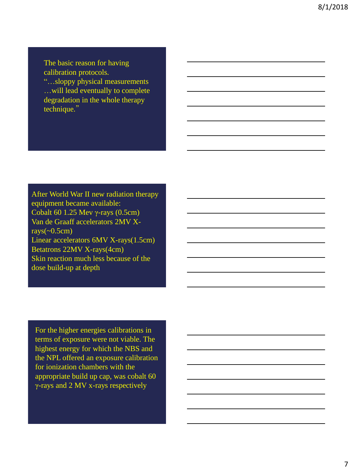The basic reason for having calibration protocols. "…sloppy physical measurements …will lead eventually to complete degradation in the whole therapy technique."

After World War II new radiation therapy equipment became available: Cobalt 60 1.25 Mev γ-rays (0.5cm) Van de Graaff accelerators 2MV Xrays( $\sim 0.5$ cm) Linear accelerators 6MV X-rays(1.5cm) Betatrons 22MV X-rays(4cm) Skin reaction much less because of the dose build-up at depth

For the higher energies calibrations in terms of exposure were not viable. The highest energy for which the NBS and the NPL offered an exposure calibration for ionization chambers with the appropriate build up cap, was cobalt 60 γ-rays and 2 MV x-rays respectively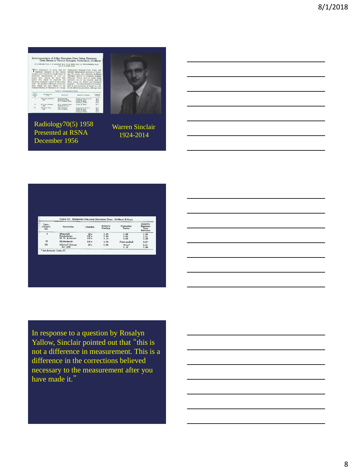

Radiology70(5) 1958 Presented at RSNA December 1956



## Warren Sinclair 1924-2014

|                           | TABLE IX: ESTIMATED RELATIVE EXPOSURE DOSE: 22-MEVP X-RAYS |                     |                      |                      |                                                        |  |
|---------------------------|------------------------------------------------------------|---------------------|----------------------|----------------------|--------------------------------------------------------|--|
| Inter-<br>compari-<br>son | Institution                                                | Chamber             | Relative<br>Reading  | Correction<br>Factor | Relative<br><b>Exposure</b><br>Dose<br><b>Estimate</b> |  |
| I                         | Memorial<br>Presbyterian<br>M. D. Anderson                 | 25r<br>100r<br>100r | 1.00<br>1.05<br>1.14 | 1.08<br>1.04<br>1.03 | 1.00<br>1.01<br>1.09                                   |  |
| $\Pi$                     | Mallinckrodt                                               | 100r                | 1.05                 | None applied         | 0.97                                                   |  |
| III                       | Illinois. <sup>*</sup> Novem-<br>ber 1956                  | 25r                 | 0.98                 | None*<br>1.10        | 0.91<br>1.00                                           |  |
|                           |                                                            |                     |                      |                      |                                                        |  |

In response to a question by Rosalyn Yallow, Sinclair pointed out that "this is not a difference in measurement. This is a difference in the corrections believed necessary to the measurement after you have made it."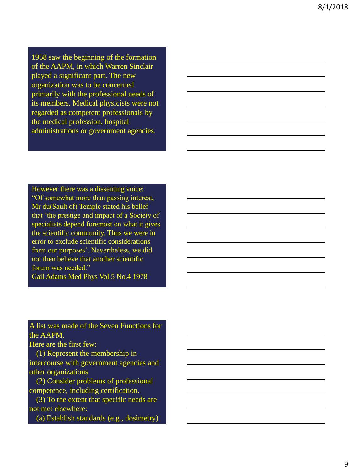1958 saw the beginning of the formation of the AAPM, in which Warren Sinclair played a significant part. The new organization was to be concerned primarily with the professional needs of its members. Medical physicists were not regarded as competent professionals by the medical profession, hospital administrations or government agencies.

However there was a dissenting voice: "Of somewhat more than passing interest, Mr du(Sault of) Temple stated his belief that 'the prestige and impact of a Society of specialists depend foremost on what it gives the scientific community. Thus we were in error to exclude scientific considerations from our purposes'. Nevertheless, we did not then believe that another scientific forum was needed." Gail Adams Med Phys Vol 5 No.4 1978

A list was made of the Seven Functions for the AAPM.

Here are the first few:

(1) Represent the membership in intercourse with government agencies and other organizations

(2) Consider problems of professional competence, including certification.

(3) To the extent that specific needs are not met elsewhere:

(a) Establish standards (e.g., dosimetry)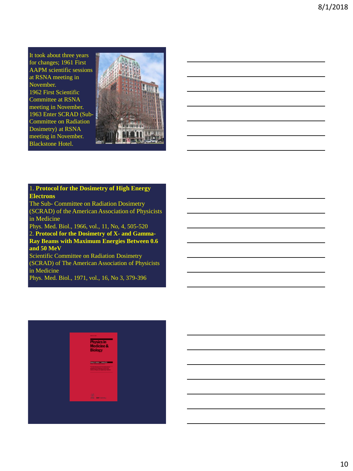It took about three years for changes; 1961 First AAPM scientific sessions at RSNA meeting in November. 1962 First Scientific Committee at RSNA meeting in November. 1963 Enter SCRAD (Sub-Committee on Radiation Dosimetry) at RSNA meeting in November. Blackstone Hotel.

Ш

#### 1. **Protocol for the Dosimetry of High Energy Electrons**

The Sub- Committee on Radiation Dosimetry (SCRAD) of the American Association of Physicists in Medicine

Phys. Med. Biol., 1966, vol., 11, No, 4, 505-520 2. **Protocol for the Dosimetry of X- and Gamma-Ray Beams with Maximum Energies Between 0.6 and 50 MeV**

Scientific Committee on Radiation Dosimetry (SCRAD) of The American Association of Physicists in Medicine

Phys. Med. Biol., 1971, vol., 16, No 3, 379-396

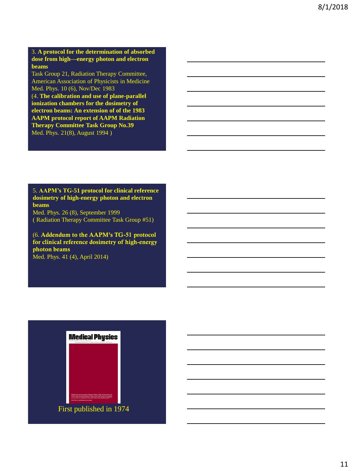3. **A protocol for the determination of absorbed dose from high—energy photon and electron beams**

Task Group 21, Radiation Therapy Committee, American Association of Physicists in Medicine Med. Phys. 10 (6), Nov/Dec 1983

(4. **The calibration and use of plane-parallel ionization chambers for the dosimetry of electron beams: An extension of of the 1983 AAPM protocol report of AAPM Radiation Therapy Committee Task Group No.39** Med. Phys. 21(8), August 1994 )

5. **AAPM's TG-51 protocol for clinical reference dosimetry of high-energy photon and electron beams**

Med. Phys. 26 (8), September 1999 ( Radiation Therapy Committee Task Group #51)

(6. Addendum to the AAPM's TG-51 protocol for clinical reference dosimetry of high-energy photon beams

Med. Phys. 41 (4), April 2014)

# **Medical Physics**

First published in 1974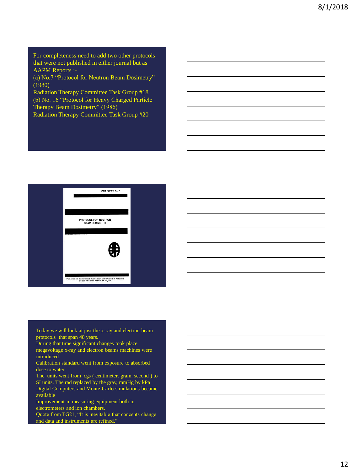For completeness need to add two other protocols that were not published in either journal but as AAPM Reports :-

(a) No.7 "Protocol for Neutron Beam Dosimetry" (1980)

Radiation Therapy Committee Task Group #18 (b) No. 16 "Protocol for Heavy Charged Particle Therapy Beam Dosimetry" (1986) Radiation Therapy Committee Task Group #20



Today we will look at just the x-ray and electron beam protocols that span 48 years.

During that time significant changes took place.

megavoltage x-ray and electron beams machines were introduced

Calibration standard went from exposure to absorbed dose to water

The units went from cgs ( centimeter, gram, second ) to SI units. The rad replaced by the gray, mmHg by kPa Digital Computers and Monte-Carlo simulations became

available Improvement in measuring equipment both in

electrometers and ion chambers.

Quote from TG21, "It is inevitable that concepts change and data and instruments are refined."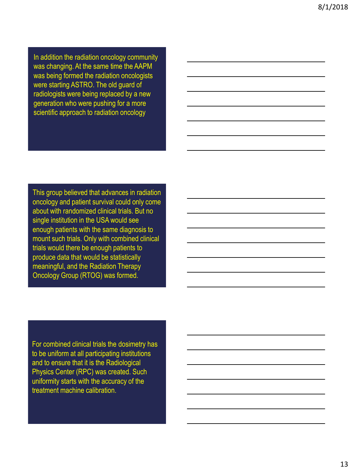In addition the radiation oncology community was changing. At the same time the AAPM was being formed the radiation oncologists were starting ASTRO. The old guard of radiologists were being replaced by a new generation who were pushing for a more scientific approach to radiation oncology

This group believed that advances in radiation oncology and patient survival could only come about with randomized clinical trials. But no single institution in the USA would see enough patients with the same diagnosis to mount such trials. Only with combined clinical trials would there be enough patients to produce data that would be statistically meaningful, and the Radiation Therapy Oncology Group (RTOG) was formed.

For combined clinical trials the dosimetry has to be uniform at all participating institutions and to ensure that it is the Radiological Physics Center (RPC) was created. Such uniformity starts with the accuracy of the treatment machine calibration.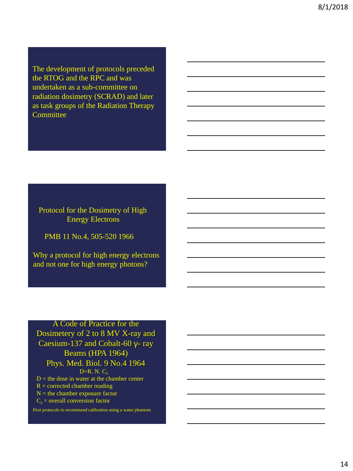The development of protocols preceded the RTOG and the RPC and was undertaken as a sub-committee on radiation dosimetry (SCRAD) and later as task groups of the Radiation Therapy **Committee** 

Protocol for the Dosimetry of High Energy Electrons

PMB 11 No.4, 505-520 1966

Why a protocol for high energy electrons and not one for high energy photons?

## A Code of Practice for the Dosimetery of 2 to 8 MV X-ray and Caesium-137 and Cobalt-60 γ- ray Beams (HPA 1964) Phys. Med. Biol. 9 No.4 1964 D=R. N.  $C_{\lambda}$  $D =$  the dose in water at the chamber center

 $R =$  corrected chamber reading

 $N =$  the chamber exposure factor

 $C_{\lambda}$  = overall conversion factor

First protocols to recommend calibration using a water phantom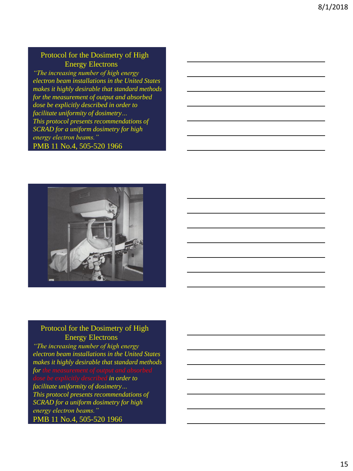# Protocol for the Dosimetry of High Energy Electrons

*"The increasing number of high energy electron beam installations in the United States makes it highly desirable that standard methods for the measurement of output and absorbed dose be explicitly described in order to facilitate uniformity of dosimetry… This protocol presents recommendations of SCRAD for a uniform dosimetry for high energy electron beams."* PMB 11 No.4, 505-520 1966



Protocol for the Dosimetry of High Energy Electrons

*"The increasing number of high energy electron beam installations in the United States makes it highly desirable that standard methods for the measurement of output and absorbed din order to facilitate uniformity of dosimetry… This protocol presents recommendations of SCRAD for a uniform dosimetry for high energy electron beams."* PMB 11 No.4, 505-520 1966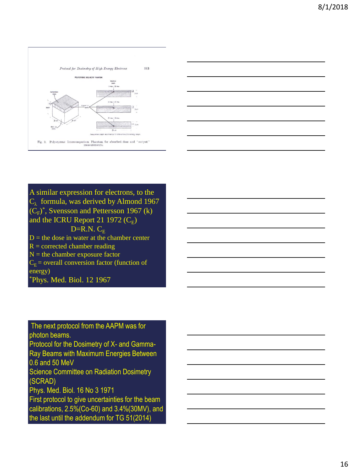



A similar expression for electrons, to the  $C_{\lambda}$  formula, was derived by Almond 1967  $(C_F^*)$ <sup>\*</sup>, Svensson and Pettersson 1967 (k) and the ICRU Report 21 1972  $(C_E)$  $D=R.N. C<sub>F</sub>$  $D =$  the dose in water at the chamber center  $R =$  corrected chamber reading  $N =$  the chamber exposure factor  $C_E$  = overall conversion factor (function of energy) \*Phys. Med. Biol. 12 1967

The next protocol from the AAPM was for photon beams.

Protocol for the Dosimetry of X- and Gamma-Ray Beams with Maximum Energies Between 0.6 and 50 MeV

Science Committee on Radiation Dosimetry (SCRAD)

Phys. Med. Biol. 16 No 3 1971

First protocol to give uncertainties for the beam calibrations, 2.5%(Co-60) and 3.4%(30MV), and the last until the addendum for TG 51(2014)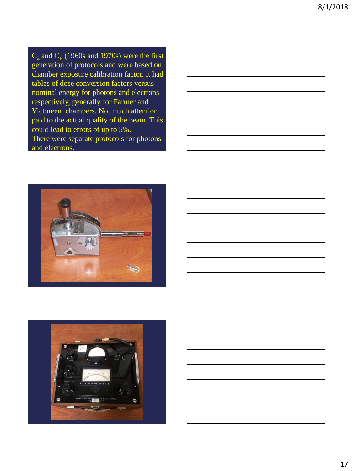$C_{\lambda}$  and  $C_{E}$  (1960s and 1970s) were the first generation of protocols and were based on chamber exposure calibration factor. It had tables of dose conversion factors versus nominal energy for photons and electrons respectively, generally for Farmer and Victoreen chambers. Not much attention paid to the actual quality of the beam. This could lead to errors of up to 5%. There were separate protocols for photons and electrons.







![](_page_16_Picture_5.jpeg)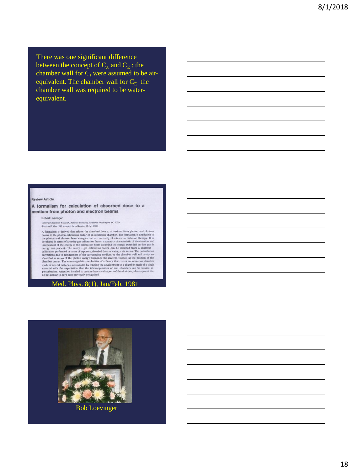There was one significant difference between the concept of  $C_{\lambda}$  and  $C_{E}$ : the chamber wall for  $C_{\lambda}$  were assumed to be airequivalent. The chamber wall for  $C_E$  the chamber wall was required to be waterequivalent.

#### **Review Article**

#### A formalism for calculation of absorbed dose to a medium from photon and electron beams

#### Robert Loevinger

Center for Radiation Research. National Bureau of Standards. Washington. DC 20234<br>(Received 2 May 1980; accepted for publication 17 July 1980)

(Reseired 2 May 1980, accepted for publication 17 July 1980)<br>
(Reseired 2 May 1980), accepted for publication 17 July 1980)<br>
A formulation from photon and electron<br>
A formulation from the photon calibration fractor of an

![](_page_17_Picture_8.jpeg)

18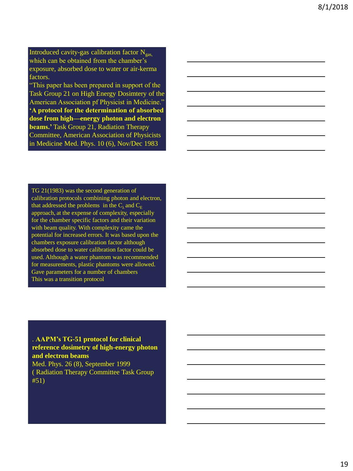Introduced cavity-gas calibration factor  $N_{gas}$ which can be obtained from the chamber's exposure, absorbed dose to water or air-kerma factors.

"This paper has been prepared in support of the Task Group 21 on High Energy Dosimtery of the American Association pf Physicist in Medicine." **'A protocol for the determination of absorbed dose from high—energy photon and electron beams.'** Task Group 21, Radiation Therapy Committee, American Association of Physicists in Medicine Med. Phys. 10 (6), Nov/Dec 1983

TG 21(1983) was the second generation of calibration protocols combining photon and electron, that addressed the problems in the  $C_{\lambda}$  and  $C_{E}$ approach, at the expense of complexity, especially for the chamber specific factors and their variation with beam quality. With complexity came the potential for increased errors. It was based upon the chambers exposure calibration factor although absorbed dose to water calibration factor could be used. Although a water phantom was recommended for measurements, plastic phantoms were allowed. Gave parameters for a number of chambers This was a transition protocol

. **AAPM's TG-51 protocol for clinical reference dosimetry of high-energy photon and electron beams**

Med. Phys. 26 (8), September 1999 ( Radiation Therapy Committee Task Group #51)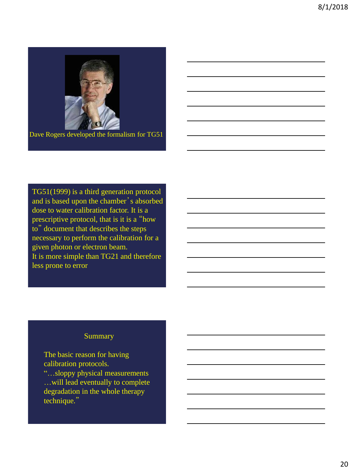![](_page_19_Picture_1.jpeg)

Dave Rogers developed the formalism for TG51

TG51(1999) is a third generation protocol and is based upon the chamber's absorbed dose to water calibration factor. It is a prescriptive protocol, that is it is a "how to" document that describes the steps necessary to perform the calibration for a given photon or electron beam. It is more simple than TG21 and therefore less prone to error

## Summary

The basic reason for having calibration protocols. "…sloppy physical measurements …will lead eventually to complete degradation in the whole therapy technique."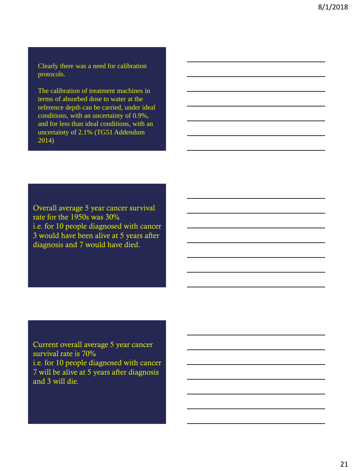Clearly there was a need for calibration protocols.

The calibration of treatment machines in terms of absorbed dose to water at the reference depth can be carried, under ideal conditions, with an uncertainty of 0.9%, and for less than ideal conditions, with an uncertainty of 2.1% (TG51 Addendum 2014)

Overall average 5 year cancer survival rate for the 1950s was 30% i.e. for 10 people diagnosed with cancer 3 would have been alive at 5 years after diagnosis and 7 would have died.

Current overall average 5 year cancer survival rate is 70% i.e. for 10 people diagnosed with cancer 7 will be alive at 5 years after diagnosis and 3 will die.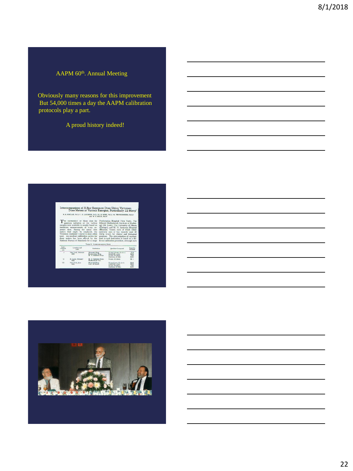## AAPM 60<sup>th</sup>. Annual Meeting

Obviously many reasons for this improvement But 54,000 times a day the AAPM calibration protocols play a part.

A proud history indeed!

|                            |                                                                                                                                                                                                                                                       |                                                              | Intercomparison of X-Ray Exposure Dose Using Victoreen<br>Dose Meters at Various Energies, Particularly 22 Mevp'                                                                                                                                                     |                                |
|----------------------------|-------------------------------------------------------------------------------------------------------------------------------------------------------------------------------------------------------------------------------------------------------|--------------------------------------------------------------|----------------------------------------------------------------------------------------------------------------------------------------------------------------------------------------------------------------------------------------------------------------------|--------------------------------|
|                            |                                                                                                                                                                                                                                                       | and W. S. MOOS PL Dr.                                        | W. E. SINCLASS, Ph.D., J. S. LAUGHLIN, Ph.D., H. H. ROSSI, Ph.D., M. TER-FOGOSSIAN, Ph.D.,                                                                                                                                                                           |                                |
|                            | ionization measurements of x-ray ex-                                                                                                                                                                                                                  |                                                              | (Chicago), and M. D. Anderson Hospital                                                                                                                                                                                                                               |                                |
|                            | posure dose. Among the many dose<br>meters that might be employed, the<br>Victoreen condenser r-meter is most often<br>used. An excellent calibration service for<br>these meters has been offered by the<br>National Bureau of Standards for a range |                                                              | (Houston, Texas), each of which either<br>currently uses or has recently used 22<br>Meyp x-rays for clinical and biological<br>purposes. The determination of exposure<br>dose in each institution is based on a dif-<br>ferent calibration procedure, although each |                                |
|                            |                                                                                                                                                                                                                                                       | TABLE I: INTERCOMPARTIONS MADE                               |                                                                                                                                                                                                                                                                      |                                |
| Inter-<br>orrosari.<br>six | Location and<br>Date                                                                                                                                                                                                                                  | Emmittertion                                                 | Qualities Compared                                                                                                                                                                                                                                                   | Location<br>of Beam            |
| Ŧ                          | New York, February<br>1956                                                                                                                                                                                                                            | Memorial Hous<br>Presbetreian Hope.<br>M. D. Anderson Hoses. | X-rays 1.8 mm. Co.h.v.l.<br>Cobalt-60 -- rays<br>X-rays, 22 Meyrs<br>Hiertenes, 33 May                                                                                                                                                                               | P.H.<br>MH.<br>P.H.<br>$MLH$ . |
| $_{11}$                    | St. Louis, February<br>1956                                                                                                                                                                                                                           | M. D. Anderson Hosp.<br>Malliarkrodt Inst.                   | X-rays, 22 Move                                                                                                                                                                                                                                                      | M.1                            |

![](_page_21_Picture_5.jpeg)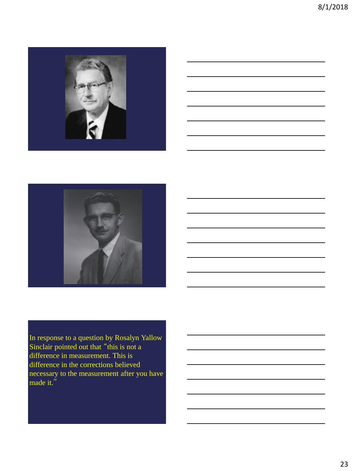![](_page_22_Picture_1.jpeg)

![](_page_22_Picture_2.jpeg)

![](_page_22_Picture_3.jpeg)

![](_page_22_Picture_4.jpeg)

In response to a question by Rosalyn Yallow Sinclair pointed out that "this is not a difference in measurement. This is difference in the corrections believed necessary to the measurement after you have made it."